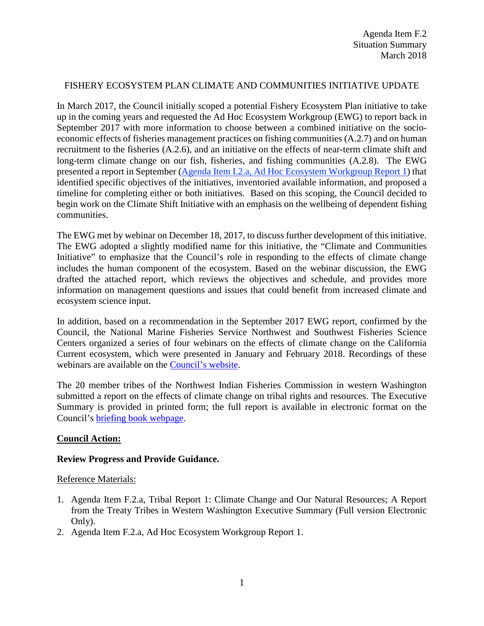## FISHERY ECOSYSTEM PLAN CLIMATE AND COMMUNITIES INITIATIVE UPDATE

In March 2017, the Council initially scoped a potential Fishery Ecosystem Plan initiative to take up in the coming years and requested the Ad Hoc Ecosystem Workgroup (EWG) to report back in September 2017 with more information to choose between a combined initiative on the socioeconomic effects of fisheries management practices on fishing communities (A.2.7) and on human recruitment to the fisheries (A.2.6), and an initiative on the effects of near-term climate shift and long-term climate change on our fish, fisheries, and fishing communities (A.2.8). The EWG presented a report in September [\(Agenda Item I.2.a, Ad Hoc Ecosystem Workgroup Report 1\)](http://www.pcouncil.org/wp-content/uploads/2017/08/I2a_EWG_Rpt1_Initiatives_081517_SEPT2017BB.pdf) that identified specific objectives of the initiatives, inventoried available information, and proposed a timeline for completing either or both initiatives. Based on this scoping, the Council decided to begin work on the Climate Shift Initiative with an emphasis on the wellbeing of dependent fishing communities.

The EWG met by webinar on December 18, 2017, to discuss further development of this initiative. The EWG adopted a slightly modified name for this initiative, the "Climate and Communities Initiative" to emphasize that the Council's role in responding to the effects of climate change includes the human component of the ecosystem. Based on the webinar discussion, the EWG drafted the attached report, which reviews the objectives and schedule, and provides more information on management questions and issues that could benefit from increased climate and ecosystem science input.

In addition, based on a recommendation in the September 2017 EWG report, confirmed by the Council, the National Marine Fisheries Service Northwest and Southwest Fisheries Science Centers organized a series of four webinars on the effects of climate change on the California Current ecosystem, which were presented in January and February 2018. Recordings of these webinars are available on the [Council's website.](https://www.pcouncil.org/ecosystem-based-management/fishery-ecosystem-plan-initiatives/climate-and-communities-initiative/climate-and-communities-initiative-2018-webinar-series/)

The 20 member tribes of the Northwest Indian Fisheries Commission in western Washington submitted a report on the effects of climate change on tribal rights and resources. The Executive Summary is provided in printed form; the full report is available in electronic format on the Council's **briefing book** webpage.

### **Council Action:**

### **Review Progress and Provide Guidance.**

### Reference Materials:

- 1. Agenda Item F.2.a, Tribal Report 1: Climate Change and Our Natural Resources; A Report from the Treaty Tribes in Western Washington Executive Summary (Full version Electronic Only).
- 2. Agenda Item F.2.a, Ad Hoc Ecosystem Workgroup Report 1.